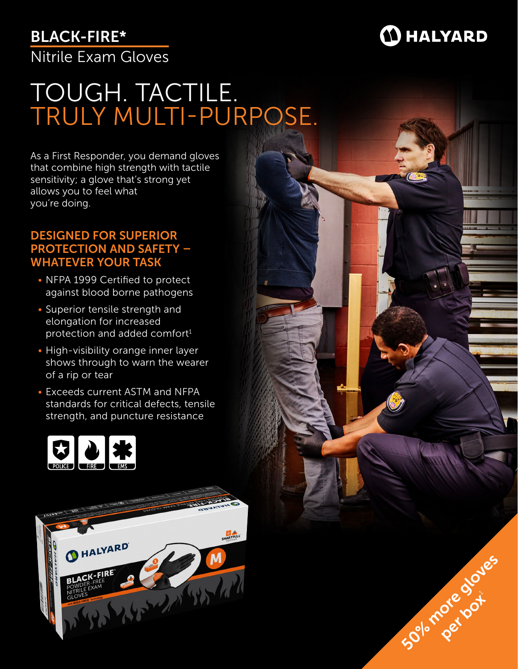## BLACK-FIRE\*



50% radication

pre bot

Nitrile Exam Gloves

# TOUGH. TACTILE. TRULY MULTI-PURPOSE.

As a First Responder, you demand gloves that combine high strength with tactile sensitivity; a glove that's strong yet allows you to feel what you're doing.

### DESIGNED FOR SUPERIOR PROTECTION AND SAFETY – WHATEVER YOUR TASK

- NFPA 1999 Certified to protect against blood borne pathogens
- Superior tensile strength and elongation for increased protection and added comfort $1$
- High-visibility orange inner layer shows through to warn the wearer of a rip or tear
- Exceeds current ASTM and NFPA standards for critical defects, tensile strength, and puncture resistance